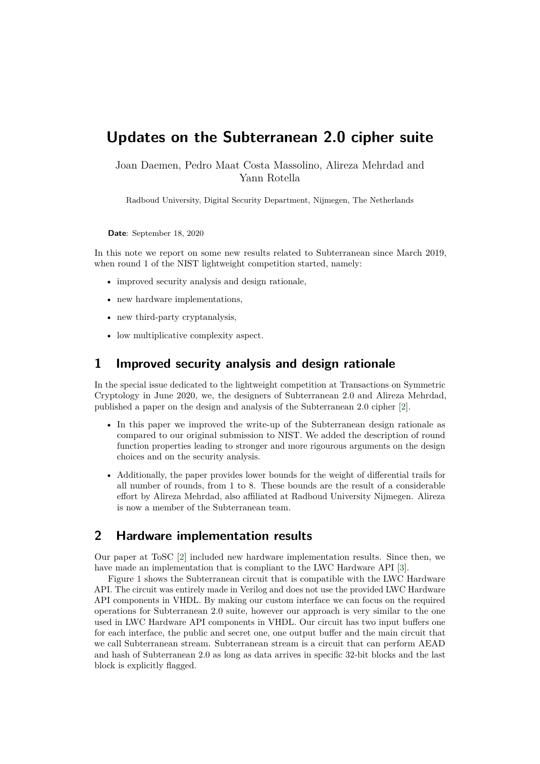# **Updates on the Subterranean 2.0 cipher suite**

Joan Daemen, Pedro Maat Costa Massolino, Alireza Mehrdad and Yann Rotella

Radboud University, Digital Security Department, Nijmegen, The Netherlands

**Date**: September 18, 2020

In this note we report on some new results related to Subterranean since March 2019, when round 1 of the NIST lightweight competition started, namely:

- improved security analysis and design rationale,
- new hardware implementations,
- new third-party cryptanalysis,
- low multiplicative complexity aspect.

#### **1 Improved security analysis and design rationale**

In the special issue dedicated to the lightweight competition at Transactions on Symmetric Cryptology in June 2020, we, the designers of Subterranean 2.0 and Alireza Mehrdad, published a paper on the design and analysis of the Subterranean 2.0 cipher [\[2\]](#page-2-0).

- In this paper we improved the write-up of the Subterranean design rationale as compared to our original submission to NIST. We added the description of round function properties leading to stronger and more rigourous arguments on the design choices and on the security analysis.
- Additionally, the paper provides lower bounds for the weight of differential trails for all number of rounds, from 1 to 8. These bounds are the result of a considerable effort by Alireza Mehrdad, also affiliated at Radboud University Nijmegen. Alireza is now a member of the Subterranean team.

## **2 Hardware implementation results**

Our paper at ToSC [\[2\]](#page-2-0) included new hardware implementation results. Since then, we have made an implementation that is compliant to the LWC Hardware API [\[3\]](#page-2-1).

Figure [1](#page-1-0) shows the Subterranean circuit that is compatible with the LWC Hardware API. The circuit was entirely made in Verilog and does not use the provided LWC Hardware API components in VHDL. By making our custom interface we can focus on the required operations for Subterranean 2.0 suite, however our approach is very similar to the one used in LWC Hardware API components in VHDL. Our circuit has two input buffers one for each interface, the public and secret one, one output buffer and the main circuit that we call Subterranean stream. Subterranean stream is a circuit that can perform AEAD and hash of Subterranean 2.0 as long as data arrives in specifc 32-bit blocks and the last block is explicitly fagged.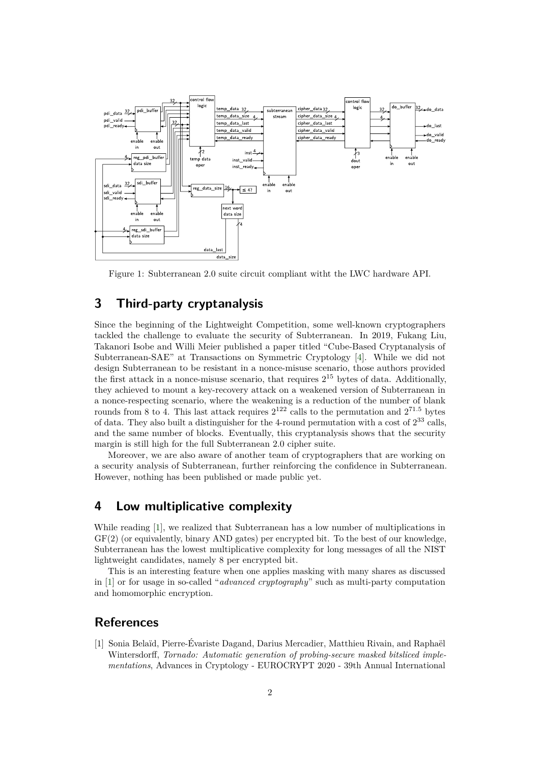<span id="page-1-0"></span>

Figure 1: Subterranean 2.0 suite circuit compliant witht the LWC hardware API.

# **3 Third-party cryptanalysis**

Since the beginning of the Lightweight Competition, some well-known cryptographers tackled the challenge to evaluate the security of Subterranean. In 2019, Fukang Liu, Takanori Isobe and Willi Meier published a paper titled "Cube-Based Cryptanalysis of Subterranean-SAE" at Transactions on Symmetric Cryptology [\[4\]](#page-2-2). While we did not design Subterranean to be resistant in a nonce-misuse scenario, those authors provided the first attack in a nonce-misuse scenario, that requires  $2^{15}$  bytes of data. Additionally, they achieved to mount a key-recovery attack on a weakened version of Subterranean in a nonce-respecting scenario, where the weakening is a reduction of the number of blank rounds from 8 to 4. This last attack requires  $2^{122}$  calls to the permutation and  $2^{71.5}$  bytes of data. They also built a distinguisher for the 4-round permutation with a cost of  $2^{33}$  calls, and the same number of blocks. Eventually, this cryptanalysis shows that the security margin is still high for the full Subterranean 2.0 cipher suite.

Moreover, we are also aware of another team of cryptographers that are working on a security analysis of Subterranean, further reinforcing the confdence in Subterranean. However, nothing has been published or made public yet.

### **4 Low multiplicative complexity**

While reading [\[1\]](#page-1-1), we realized that Subterranean has a low number of multiplications in GF(2) (or equivalently, binary AND gates) per encrypted bit. To the best of our knowledge, Subterranean has the lowest multiplicative complexity for long messages of all the NIST lightweight candidates, namely 8 per encrypted bit.

This is an interesting feature when one applies masking with many shares as discussed in [\[1\]](#page-1-1) or for usage in so-called "*advanced cryptography*" such as multi-party computation and homomorphic encryption.

### **References**

<span id="page-1-1"></span>[1] Sonia Belaïd, Pierre-Évariste Dagand, Darius Mercadier, Matthieu Rivain, and Raphaël Wintersdor˙, *Tornado: Automatic generation of probing-secure masked bitsliced implementations*, Advances in Cryptology - EUROCRYPT 2020 - 39th Annual International